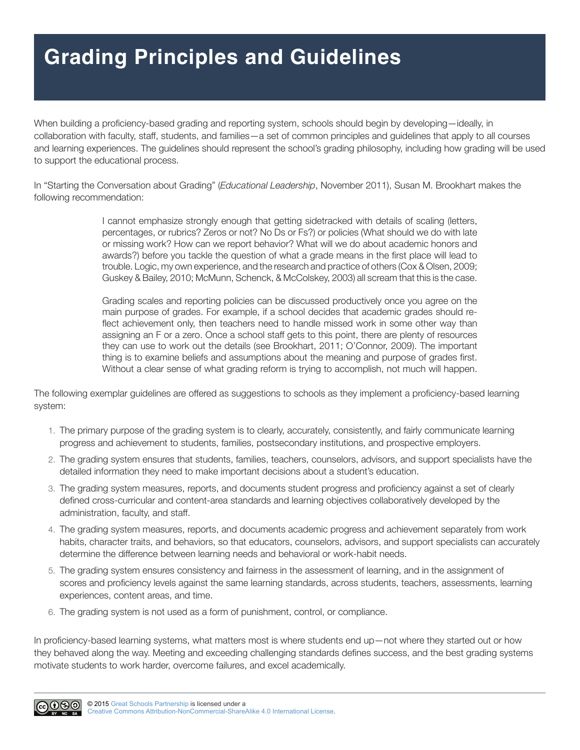## **Grading Principles and Guidelines**

When building a proficiency-based grading and reporting system, schools should begin by developing—ideally, in collaboration with faculty, staff, students, and families—a set of common principles and guidelines that apply to all courses and learning experiences. The guidelines should represent the school's grading philosophy, including how grading will be used to support the educational process.

In "Starting the Conversation about Grading" (*Educational Leadership*, November 2011), Susan M. Brookhart makes the following recommendation:

> I cannot emphasize strongly enough that getting sidetracked with details of scaling (letters, percentages, or rubrics? Zeros or not? No Ds or Fs?) or policies (What should we do with late or missing work? How can we report behavior? What will we do about academic honors and awards?) before you tackle the question of what a grade means in the first place will lead to trouble. Logic, my own experience, and the research and practice of others (Cox & Olsen, 2009; Guskey & Bailey, 2010; McMunn, Schenck, & McColskey, 2003) all scream that this is the case.

> Grading scales and reporting policies can be discussed productively once you agree on the main purpose of grades. For example, if a school decides that academic grades should reflect achievement only, then teachers need to handle missed work in some other way than assigning an F or a zero. Once a school staff gets to this point, there are plenty of resources they can use to work out the details (see Brookhart, 2011; O'Connor, 2009). The important thing is to examine beliefs and assumptions about the meaning and purpose of grades first. Without a clear sense of what grading reform is trying to accomplish, not much will happen.

The following exemplar guidelines are offered as suggestions to schools as they implement a proficiency-based learning system:

- 1. The primary purpose of the grading system is to clearly, accurately, consistently, and fairly communicate learning progress and achievement to students, families, postsecondary institutions, and prospective employers.
- 2. The grading system ensures that students, families, teachers, counselors, advisors, and support specialists have the detailed information they need to make important decisions about a student's education.
- 3. The grading system measures, reports, and documents student progress and proficiency against a set of clearly defined cross-curricular and content-area standards and learning objectives collaboratively developed by the administration, faculty, and staff.
- 4. The grading system measures, reports, and documents academic progress and achievement separately from work habits, character traits, and behaviors, so that educators, counselors, advisors, and support specialists can accurately determine the difference between learning needs and behavioral or work-habit needs.
- 5. The grading system ensures consistency and fairness in the assessment of learning, and in the assignment of scores and proficiency levels against the same learning standards, across students, teachers, assessments, learning experiences, content areas, and time.
- 6. The grading system is not used as a form of punishment, control, or compliance.

In proficiency-based learning systems, what matters most is where students end up—not where they started out or how they behaved along the way. Meeting and exceeding challenging standards defines success, and the best grading systems motivate students to work harder, overcome failures, and excel academically.